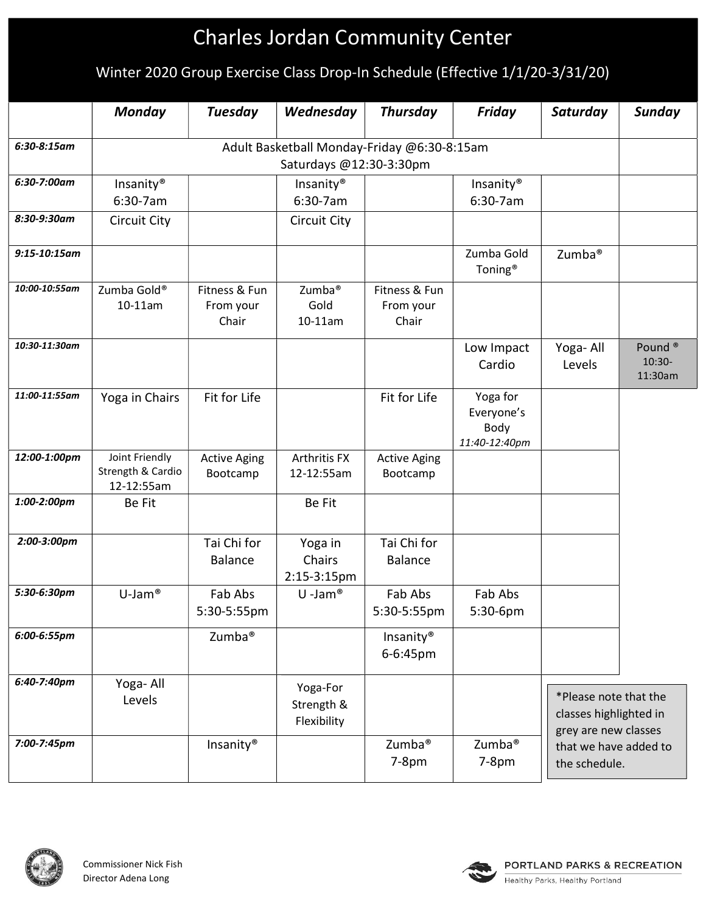# Charles Jordan Community Center

## Winter 2020 Group Exercise Class Drop-In Schedule (Effective 1/1/20-3/31/20)

|                   | <b>Monday</b>                               | <b>Tuesday</b>      | Wednesday             | <b>Thursday</b>       | <b>Friday</b>                     | Saturday                                                       | <b>Sunday</b>                  |
|-------------------|---------------------------------------------|---------------------|-----------------------|-----------------------|-----------------------------------|----------------------------------------------------------------|--------------------------------|
| $6:30-8:15$ am    | Adult Basketball Monday-Friday @6:30-8:15am |                     |                       |                       |                                   |                                                                |                                |
|                   | Saturdays @12:30-3:30pm                     |                     |                       |                       |                                   |                                                                |                                |
| 6:30-7:00am       | Insanity <sup>®</sup>                       |                     | Insanity <sup>®</sup> |                       | Insanity <sup>®</sup>             |                                                                |                                |
|                   | 6:30-7am                                    |                     | 6:30-7am              |                       | 6:30-7am                          |                                                                |                                |
| 8:30-9:30am       | <b>Circuit City</b>                         |                     | <b>Circuit City</b>   |                       |                                   |                                                                |                                |
| $9:15 - 10:15$ am |                                             |                     |                       |                       |                                   |                                                                |                                |
|                   |                                             |                     |                       |                       | Zumba Gold<br>Toning <sup>®</sup> | Zumba <sup>®</sup>                                             |                                |
| 10:00-10:55am     | Zumba Gold®                                 | Fitness & Fun       | Zumba <sup>®</sup>    | Fitness & Fun         |                                   |                                                                |                                |
|                   | 10-11am                                     | From your<br>Chair  | Gold<br>10-11am       | From your<br>Chair    |                                   |                                                                |                                |
| 10:30-11:30am     |                                             |                     |                       |                       |                                   |                                                                |                                |
|                   |                                             |                     |                       |                       | Low Impact<br>Cardio              | Yoga-All<br>Levels                                             | Pound <sup>®</sup><br>$10:30-$ |
|                   |                                             |                     |                       |                       |                                   |                                                                | 11:30am                        |
| 11:00-11:55am     | Yoga in Chairs                              | Fit for Life        |                       | Fit for Life          | Yoga for                          |                                                                |                                |
|                   |                                             |                     |                       |                       | Everyone's                        |                                                                |                                |
|                   |                                             |                     |                       |                       | Body<br>11:40-12:40pm             |                                                                |                                |
| 12:00-1:00pm      | Joint Friendly                              | <b>Active Aging</b> | Arthritis FX          | <b>Active Aging</b>   |                                   |                                                                |                                |
|                   | Strength & Cardio                           | Bootcamp            | 12-12:55am            | Bootcamp              |                                   |                                                                |                                |
| 1:00-2:00pm       | 12-12:55am                                  |                     |                       |                       |                                   |                                                                |                                |
|                   | <b>Be Fit</b>                               |                     | Be Fit                |                       |                                   |                                                                |                                |
| 2:00-3:00pm       |                                             | Tai Chi for         | Yoga in               | Tai Chi for           |                                   |                                                                |                                |
|                   |                                             | <b>Balance</b>      | Chairs                | <b>Balance</b>        |                                   |                                                                |                                |
|                   |                                             |                     | 2:15-3:15pm           |                       |                                   |                                                                |                                |
| 5:30-6:30pm       | $U-Jam$ <sup>®</sup>                        | Fab Abs             | $U$ -Jam®             | Fab Abs               | Fab Abs                           |                                                                |                                |
|                   |                                             | 5:30-5:55pm         |                       | 5:30-5:55pm           | 5:30-6pm                          |                                                                |                                |
| 6:00-6:55pm       |                                             | Zumba <sup>®</sup>  |                       | Insanity <sup>®</sup> |                                   |                                                                |                                |
|                   |                                             |                     |                       | 6-6:45pm              |                                   |                                                                |                                |
| 6:40-7:40pm       | Yoga-All                                    |                     | Yoga-For              |                       |                                   |                                                                |                                |
|                   | Levels                                      |                     | Strength &            |                       |                                   | *Please note that the                                          |                                |
|                   |                                             |                     | Flexibility           |                       |                                   | classes highlighted in                                         |                                |
| 7:00-7:45pm       |                                             | Insanity®           |                       | Zumba <sup>®</sup>    | Zumba <sup>®</sup>                | grey are new classes<br>that we have added to<br>the schedule. |                                |
|                   |                                             |                     |                       | $7-8pm$               | $7-8pm$                           |                                                                |                                |
|                   |                                             |                     |                       |                       |                                   |                                                                |                                |